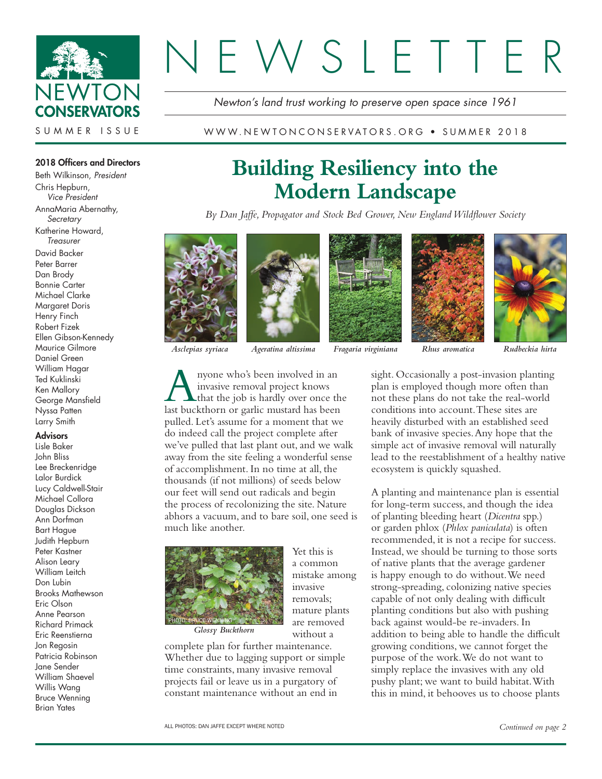

# **NSIETTE**

*Newton's land trust working to preserve open space since 1961*

WWW.NEWTONCONSERVATORS.ORG • SUMMER 2018

## 2018 Officers and Directors

Beth Wilkinson, *President* Chris Hepburn, *Vice President* AnnaMaria Abernathy, *Secretary* Katherine Howard, *Treasurer* David Backer Peter Barrer Dan Brody Bonnie Carter Michael Clarke Margaret Doris Henry Finch Robert Fizek Ellen Gibson-Kennedy Maurice Gilmore Daniel Green William Hagar Ted Kuklinski Ken Mallory George Mansfield Nyssa Patten Larry Smith

## **Advisors**

Lisle Baker John Bliss Lee Breckenridge Lalor Burdick Lucy Caldwell-Stair Michael Collora Douglas Dickson Ann Dorfman Bart Hague Judith Hepburn Peter Kastner Alison Leary William Leitch Don Lubin Brooks Mathewson Eric Olson Anne Pearson Richard Primack Eric Reenstierna Jon Regosin Patricia Robinson Jane Sender William Shaevel Willis Wang Bruce Wenning Brian Yates

# **Building Resiliency into the Modern Landscape**

*By Dan Jaffe, Propagator and Stock Bed Grower, New England Wildflower Society*





*Asclepias syriaca Ageratina altissima Fragaria virginiana Rhus aromatica Rudbeckia hirta*

A nyone who's been involved in an<br>
invasive removal project knows<br>
that the job is hardly over once the<br>
last buckthorn or garlic mustard has been invasive removal project knows last buckthorn or garlic mustard has been pulled. Let's assume for a moment that we do indeed call the project complete after we've pulled that last plant out, and we walk away from the site feeling a wonderful sense of accomplishment. In no time at all, the thousands (if not millions) of seeds below our feet will send out radicals and begin the process of recolonizing the site. Nature abhors a vacuum, and to bare soil, one seed is much like another.

> Yet this is a common mistake among

invasive removals; mature plants are removed without a



*Glossy Buckthorn*

complete plan for further maintenance. Whether due to lagging support or simple time constraints, many invasive removal projects fail or leave us in a purgatory of constant maintenance without an end in







sight. Occasionally a post-invasion planting plan is employed though more often than not these plans do not take the real-world conditions into account. These sites are heavily disturbed with an established seed bank of invasive species. Any hope that the simple act of invasive removal will naturally lead to the reestablishment of a healthy native ecosystem is quickly squashed.

A planting and maintenance plan is essential for long-term success, and though the idea of planting bleeding heart (*Dicentra* spp.) or garden phlox (*Phlox paniculata*) is often recommended, it is not a recipe for success. Instead, we should be turning to those sorts of native plants that the average gardener is happy enough to do without. We need strong-spreading, colonizing native species capable of not only dealing with difficult planting conditions but also with pushing back against would-be re-invaders. In addition to being able to handle the difficult growing conditions, we cannot forget the purpose of the work. We do not want to simply replace the invasives with any old pushy plant; we want to build habitat. With this in mind, it behooves us to choose plants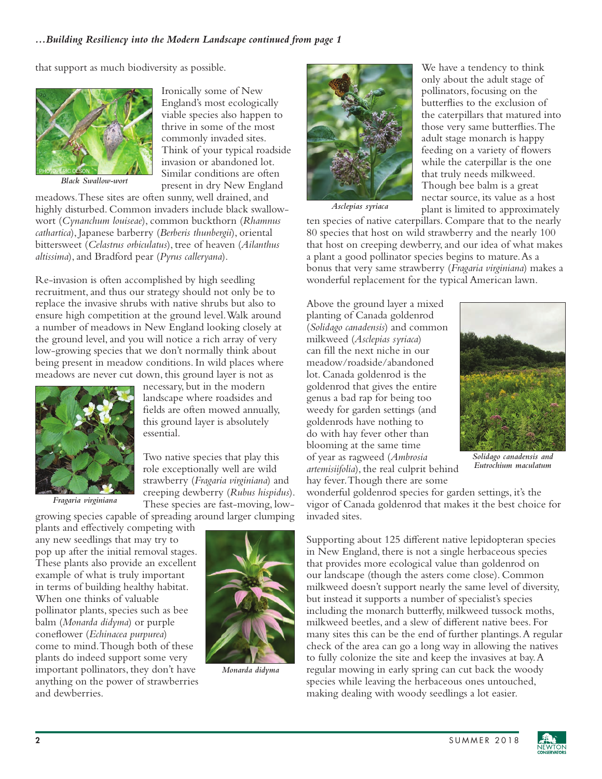## *...Building Resiliency into the Modern Landscape continued from page 1*

that support as much biodiversity as possible.



*Black Swallow-wort*

Ironically some of New England's most ecologically viable species also happen to thrive in some of the most commonly invaded sites. Think of your typical roadside invasion or abandoned lot. Similar conditions are often present in dry New England

meadows. These sites are often sunny, well drained, and highly disturbed. Common invaders include black swallowwort (*Cynanchum louiseae*), common buckthorn (*Rhamnus cathartica*), Japanese barberry (*Berberis thunbergii*), oriental bittersweet (*Celastrus orbiculatus*), tree of heaven (*Ailanthus altissima*), and Bradford pear (*Pyrus calleryana*).

Re-invasion is often accomplished by high seedling recruitment, and thus our strategy should not only be to replace the invasive shrubs with native shrubs but also to ensure high competition at the ground level. Walk around a number of meadows in New England looking closely at the ground level, and you will notice a rich array of very low-growing species that we don't normally think about being present in meadow conditions. In wild places where meadows are never cut down, this ground layer is not as



necessary, but in the modern landscape where roadsides and fields are often mowed annually, this ground layer is absolutely essential.

Two native species that play this role exceptionally well are wild strawberry (*Fragaria virginiana*) and creeping dewberry (*Rubus hispidus*). These species are fast-moving, low-

growing species capable of spreading around larger clumping

plants and effectively competing with any new seedlings that may try to pop up after the initial removal stages. These plants also provide an excellent example of what is truly important in terms of building healthy habitat. When one thinks of valuable pollinator plants, species such as bee balm (*Monarda didyma*) or purple coneflower (*Echinacea purpurea*) come to mind. Though both of these plants do indeed support some very important pollinators, they don't have anything on the power of strawberries and dewberries.



*Monarda didyma*



We have a tendency to think only about the adult stage of pollinators, focusing on the butterflies to the exclusion of the caterpillars that matured into those very same butterflies. The adult stage monarch is happy feeding on a variety of flowers while the caterpillar is the one that truly needs milkweed. Though bee balm is a great nectar source, its value as a host plant is limited to approximately

*Asclepias syriaca*

ten species of native caterpillars. Compare that to the nearly 80 species that host on wild strawberry and the nearly 100 that host on creeping dewberry, and our idea of what makes a plant a good pollinator species begins to mature. As a bonus that very same strawberry (*Fragaria virginiana*) makes a wonderful replacement for the typical American lawn.

Above the ground layer a mixed planting of Canada goldenrod (*Solidago canadensis*) and common milkweed (*Asclepias syriaca*) can fill the next niche in our meadow/roadside/abandoned lot. Canada goldenrod is the goldenrod that gives the entire genus a bad rap for being too weedy for garden settings (and goldenrods have nothing to do with hay fever other than blooming at the same time of year as ragweed (*Ambrosia artemisiifolia*), the real culprit behind hay fever. Though there are some



*Solidago canadensis and Eutrochium maculatum*

wonderful goldenrod species for garden settings, it's the vigor of Canada goldenrod that makes it the best choice for invaded sites.

Supporting about 125 different native lepidopteran species in New England, there is not a single herbaceous species that provides more ecological value than goldenrod on our landscape (though the asters come close). Common milkweed doesn't support nearly the same level of diversity, but instead it supports a number of specialist's species including the monarch butterfly, milkweed tussock moths, milkweed beetles, and a slew of different native bees. For many sites this can be the end of further plantings. A regular check of the area can go a long way in allowing the natives to fully colonize the site and keep the invasives at bay. A regular mowing in early spring can cut back the woody species while leaving the herbaceous ones untouched, making dealing with woody seedlings a lot easier.